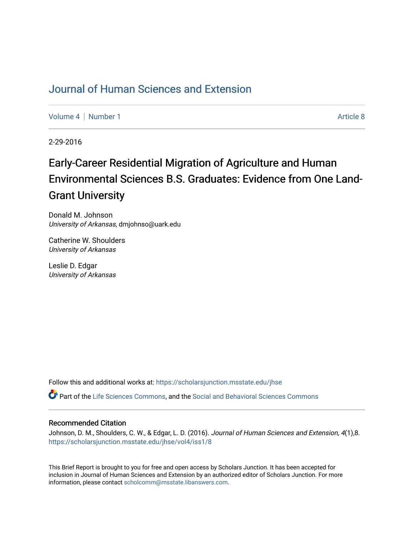# [Journal of Human Sciences and Extension](https://scholarsjunction.msstate.edu/jhse)

[Volume 4](https://scholarsjunction.msstate.edu/jhse/vol4) | [Number 1](https://scholarsjunction.msstate.edu/jhse/vol4/iss1) Article 8

2-29-2016

# Early-Career Residential Migration of Agriculture and Human Environmental Sciences B.S. Graduates: Evidence from One Land-Grant University

Donald M. Johnson University of Arkansas, dmjohnso@uark.edu

Catherine W. Shoulders University of Arkansas

Leslie D. Edgar University of Arkansas

Follow this and additional works at: [https://scholarsjunction.msstate.edu/jhse](https://scholarsjunction.msstate.edu/jhse?utm_source=scholarsjunction.msstate.edu%2Fjhse%2Fvol4%2Fiss1%2F8&utm_medium=PDF&utm_campaign=PDFCoverPages)

Part of the [Life Sciences Commons,](http://network.bepress.com/hgg/discipline/1016?utm_source=scholarsjunction.msstate.edu%2Fjhse%2Fvol4%2Fiss1%2F8&utm_medium=PDF&utm_campaign=PDFCoverPages) and the [Social and Behavioral Sciences Commons](http://network.bepress.com/hgg/discipline/316?utm_source=scholarsjunction.msstate.edu%2Fjhse%2Fvol4%2Fiss1%2F8&utm_medium=PDF&utm_campaign=PDFCoverPages)

#### Recommended Citation

Johnson, D. M., Shoulders, C. W., & Edgar, L. D. (2016). Journal of Human Sciences and Extension, 4(1),8. [https://scholarsjunction.msstate.edu/jhse/vol4/iss1/8](https://scholarsjunction.msstate.edu/jhse/vol4/iss1/8?utm_source=scholarsjunction.msstate.edu%2Fjhse%2Fvol4%2Fiss1%2F8&utm_medium=PDF&utm_campaign=PDFCoverPages)

This Brief Report is brought to you for free and open access by Scholars Junction. It has been accepted for inclusion in Journal of Human Sciences and Extension by an authorized editor of Scholars Junction. For more information, please contact [scholcomm@msstate.libanswers.com](mailto:scholcomm@msstate.libanswers.com).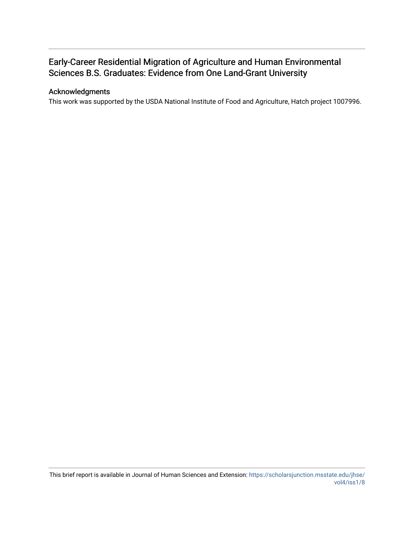# Early-Career Residential Migration of Agriculture and Human Environmental Sciences B.S. Graduates: Evidence from One Land-Grant University

### Acknowledgments

This work was supported by the USDA National Institute of Food and Agriculture, Hatch project 1007996.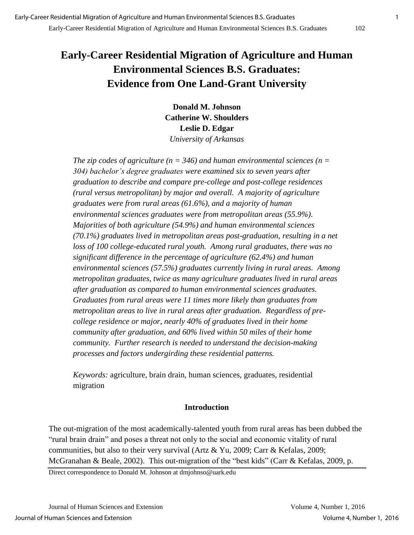# **Early-Career Residential Migration of Agriculture and Human Environmental Sciences B.S. Graduates: Evidence from One Land-Grant University**

**Donald M. Johnson Catherine W. Shoulders Leslie D. Edgar**  *University of Arkansas* 

*The zip codes of agriculture (n = 346) and human environmental sciences (n =*  $\overline{a}$ *304) bachelor's degree graduates were examined six to seven years after graduation to describe and compare pre-college and post-college residences (rural versus metropolitan) by major and overall. A majority of agriculture graduates were from rural areas (61.6%), and a majority of human environmental sciences graduates were from metropolitan areas (55.9%). Majorities of both agriculture (54.9%) and human environmental sciences (70.1%) graduates lived in metropolitan areas post-graduation, resulting in a net*  loss of 100 college-educated rural youth. Among rural graduates, there was no *significant difference in the percentage of agriculture (62.4%) and human environmental sciences (57.5%) graduates currently living in rural areas. Among metropolitan graduates, twice as many agriculture graduates lived in rural areas after graduation as compared to human environmental sciences graduates. Graduates from rural areas were 11 times more likely than graduates from metropolitan areas to live in rural areas after graduation. Regardless of precollege residence or major, nearly 40% of graduates lived in their home community after graduation, and 60% lived within 50 miles of their home community. Further research is needed to understand the decision-making processes and factors undergirding these residential patterns.* 

*Keywords:* agriculture, brain drain, human sciences, graduates, residential migration

# **Introduction**

The out-migration of the most academically-talented youth from rural areas has been dubbed the "rural brain drain" and poses a threat not only to the social and economic vitality of rural communities, but also to their very survival (Artz & Yu, 2009; Carr & Kefalas, 2009; McGranahan & Beale, 2002). This out-migration of the "best kids" (Carr & Kefalas, 2009, p.

Direct correspondence to Donald M. Johnson at dmjohnso@uark.edu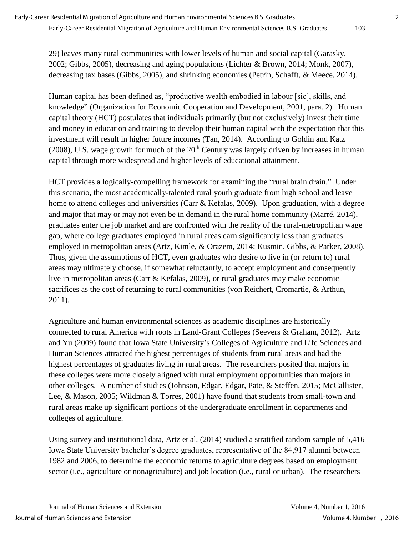#### Early-Career Residential Migration of Agriculture and Human Environmental Sciences B.S. Graduates 103

29) leaves many rural communities with lower levels of human and social capital (Garasky, 2002; Gibbs, 2005), decreasing and aging populations (Lichter & Brown, 2014; Monk, 2007), decreasing tax bases (Gibbs, 2005), and shrinking economies (Petrin, Schafft, & Meece, 2014).

Human capital has been defined as, "productive wealth embodied in labour [sic], skills, and knowledge" (Organization for Economic Cooperation and Development, 2001, para. 2). Human capital theory (HCT) postulates that individuals primarily (but not exclusively) invest their time and money in education and training to develop their human capital with the expectation that this investment will result in higher future incomes (Tan, 2014). According to Goldin and Katz (2008), U.S. wage growth for much of the  $20<sup>th</sup>$  Century was largely driven by increases in human capital through more widespread and higher levels of educational attainment.

HCT provides a logically-compelling framework for examining the "rural brain drain." Under this scenario, the most academically-talented rural youth graduate from high school and leave home to attend colleges and universities (Carr & Kefalas, 2009). Upon graduation, with a degree and major that may or may not even be in demand in the rural home community (Marré, 2014), graduates enter the job market and are confronted with the reality of the rural-metropolitan wage gap, where college graduates employed in rural areas earn significantly less than graduates employed in metropolitan areas (Artz, Kimle, & Orazem, 2014; Kusmin, Gibbs, & Parker, 2008). Thus, given the assumptions of HCT, even graduates who desire to live in (or return to) rural areas may ultimately choose, if somewhat reluctantly, to accept employment and consequently live in metropolitan areas (Carr & Kefalas, 2009), or rural graduates may make economic sacrifices as the cost of returning to rural communities (von Reichert, Cromartie, & Arthun, 2011).

Agriculture and human environmental sciences as academic disciplines are historically connected to rural America with roots in Land-Grant Colleges (Seevers & Graham, 2012). Artz and Yu (2009) found that Iowa State University's Colleges of Agriculture and Life Sciences and Human Sciences attracted the highest percentages of students from rural areas and had the highest percentages of graduates living in rural areas. The researchers posited that majors in these colleges were more closely aligned with rural employment opportunities than majors in other colleges. A number of studies (Johnson, Edgar, Edgar, Pate, & Steffen, 2015; McCallister, Lee, & Mason, 2005; Wildman & Torres, 2001) have found that students from small-town and rural areas make up significant portions of the undergraduate enrollment in departments and colleges of agriculture.

Using survey and institutional data, Artz et al. (2014) studied a stratified random sample of 5,416 Iowa State University bachelor's degree graduates, representative of the 84,917 alumni between 1982 and 2006, to determine the economic returns to agriculture degrees based on employment sector (i.e., agriculture or nonagriculture) and job location (i.e., rural or urban). The researchers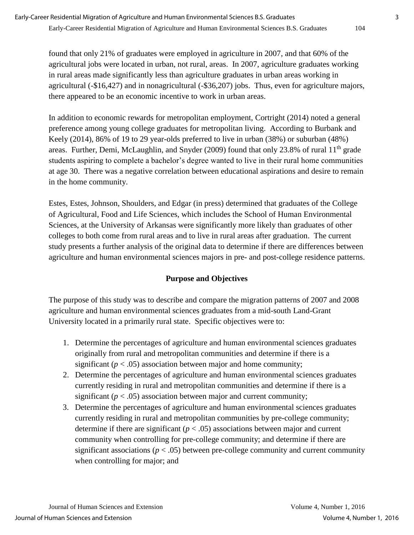found that only 21% of graduates were employed in agriculture in 2007, and that 60% of the agricultural jobs were located in urban, not rural, areas. In 2007, agriculture graduates working in rural areas made significantly less than agriculture graduates in urban areas working in agricultural (-\$16,427) and in nonagricultural (-\$36,207) jobs. Thus, even for agriculture majors, there appeared to be an economic incentive to work in urban areas.

In addition to economic rewards for metropolitan employment, Cortright (2014) noted a general preference among young college graduates for metropolitan living. According to Burbank and Keely (2014), 86% of 19 to 29 year-olds preferred to live in urban (38%) or suburban (48%) areas. Further, Demi, McLaughlin, and Snyder (2009) found that only 23.8% of rural  $11<sup>th</sup>$  grade students aspiring to complete a bachelor's degree wanted to live in their rural home communities at age 30. There was a negative correlation between educational aspirations and desire to remain in the home community.

Estes, Estes, Johnson, Shoulders, and Edgar (in press) determined that graduates of the College of Agricultural, Food and Life Sciences, which includes the School of Human Environmental Sciences, at the University of Arkansas were significantly more likely than graduates of other colleges to both come from rural areas and to live in rural areas after graduation. The current study presents a further analysis of the original data to determine if there are differences between agriculture and human environmental sciences majors in pre- and post-college residence patterns.

# **Purpose and Objectives**

The purpose of this study was to describe and compare the migration patterns of 2007 and 2008 agriculture and human environmental sciences graduates from a mid-south Land-Grant University located in a primarily rural state. Specific objectives were to:

- 1. Determine the percentages of agriculture and human environmental sciences graduates originally from rural and metropolitan communities and determine if there is a significant  $(p < .05)$  association between major and home community;
- 2. Determine the percentages of agriculture and human environmental sciences graduates currently residing in rural and metropolitan communities and determine if there is a significant  $(p < .05)$  association between major and current community;
- 3. Determine the percentages of agriculture and human environmental sciences graduates currently residing in rural and metropolitan communities by pre-college community; determine if there are significant  $(p < .05)$  associations between major and current community when controlling for pre-college community; and determine if there are significant associations ( $p < .05$ ) between pre-college community and current community when controlling for major; and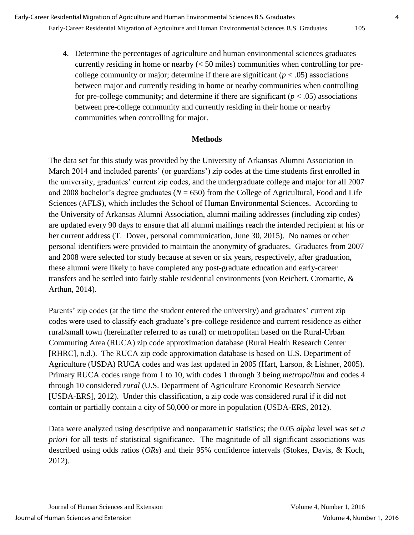4. Determine the percentages of agriculture and human environmental sciences graduates currently residing in home or nearby  $( $50$  miles) communities when controlling for pre$ college community or major; determine if there are significant  $(p < .05)$  associations between major and currently residing in home or nearby communities when controlling for pre-college community; and determine if there are significant  $(p < .05)$  associations between pre-college community and currently residing in their home or nearby communities when controlling for major.

## **Methods**

The data set for this study was provided by the University of Arkansas Alumni Association in March 2014 and included parents' (or guardians') zip codes at the time students first enrolled in the university, graduates' current zip codes, and the undergraduate college and major for all 2007 and 2008 bachelor's degree graduates (*N* = 650) from the College of Agricultural, Food and Life Sciences (AFLS), which includes the School of Human Environmental Sciences. According to the University of Arkansas Alumni Association, alumni mailing addresses (including zip codes) are updated every 90 days to ensure that all alumni mailings reach the intended recipient at his or her current address (T. Dover, personal communication, June 30, 2015). No names or other personal identifiers were provided to maintain the anonymity of graduates. Graduates from 2007 and 2008 were selected for study because at seven or six years, respectively, after graduation, these alumni were likely to have completed any post-graduate education and early-career transfers and be settled into fairly stable residential environments (von Reichert, Cromartie, & Arthun, 2014).

Parents' zip codes (at the time the student entered the university) and graduates' current zip codes were used to classify each graduate's pre-college residence and current residence as either rural/small town (hereinafter referred to as rural) or metropolitan based on the Rural-Urban Commuting Area (RUCA) zip code approximation database (Rural Health Research Center [RHRC], n.d.). The RUCA zip code approximation database is based on U.S. Department of Agriculture (USDA) RUCA codes and was last updated in 2005 (Hart, Larson, & Lishner, 2005). Primary RUCA codes range from 1 to 10, with codes 1 through 3 being *metropolitan* and codes 4 through 10 considered *rural* (U.S. Department of Agriculture Economic Research Service [USDA-ERS], 2012). Under this classification, a zip code was considered rural if it did not contain or partially contain a city of 50,000 or more in population (USDA-ERS, 2012).

Data were analyzed using descriptive and nonparametric statistics; the 0.05 *alpha* level was set *a priori* for all tests of statistical significance. The magnitude of all significant associations was described using odds ratios (*ORs*) and their 95% confidence intervals (Stokes, Davis, & Koch, 2012).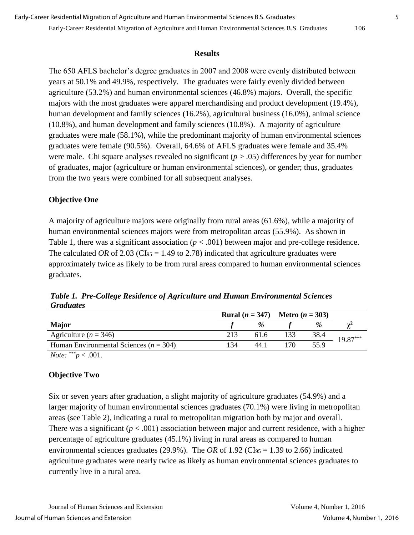#### Early-Career Residential Migration of Agriculture and Human Environmental Sciences B.S. Graduates 106

#### **Results**

The 650 AFLS bachelor's degree graduates in 2007 and 2008 were evenly distributed between years at 50.1% and 49.9%, respectively. The graduates were fairly evenly divided between agriculture (53.2%) and human environmental sciences (46.8%) majors. Overall, the specific majors with the most graduates were apparel merchandising and product development (19.4%), human development and family sciences (16.2%), agricultural business (16.0%), animal science (10.8%), and human development and family sciences (10.8%). A majority of agriculture graduates were male (58.1%), while the predominant majority of human environmental sciences graduates were female (90.5%). Overall, 64.6% of AFLS graduates were female and 35.4% were male. Chi square analyses revealed no significant  $(p > .05)$  differences by year for number of graduates, major (agriculture or human environmental sciences), or gender; thus, graduates from the two years were combined for all subsequent analyses.

## **Objective One**

A majority of agriculture majors were originally from rural areas (61.6%), while a majority of human environmental sciences majors were from metropolitan areas (55.9%). As shown in Table 1, there was a significant association  $(p < .001)$  between major and pre-college residence. The calculated *OR* of 2.03 (CI<sub>95</sub> = 1.49 to 2.78) indicated that agriculture graduates were approximately twice as likely to be from rural areas compared to human environmental sciences graduates.

*Table 1. Pre-College Residence of Agriculture and Human Environmental Sciences Graduates*

|                                            |     |      | <b>Rural</b> $(n = 347)$ <b>Metro</b> $(n = 303)$ |      |          |
|--------------------------------------------|-----|------|---------------------------------------------------|------|----------|
| <b>Major</b>                               |     | %    |                                                   | %    |          |
| Agriculture ( $n = 346$ )                  | 213 | 61.6 |                                                   | 38.4 | 19.87*** |
| Human Environmental Sciences ( $n = 304$ ) | 134 | 44.1 | '70.                                              | 55.9 |          |
| $\overline{Note}:$ ***<br>$p < .001$ .     |     |      |                                                   |      |          |

# **Objective Two**

Six or seven years after graduation, a slight majority of agriculture graduates (54.9%) and a larger majority of human environmental sciences graduates (70.1%) were living in metropolitan areas (see Table 2), indicating a rural to metropolitan migration both by major and overall. There was a significant ( $p < .001$ ) association between major and current residence, with a higher percentage of agriculture graduates (45.1%) living in rural areas as compared to human environmental sciences graduates (29.9%). The *OR* of 1.92 (CI<sub>95</sub> = 1.39 to 2.66) indicated agriculture graduates were nearly twice as likely as human environmental sciences graduates to currently live in a rural area.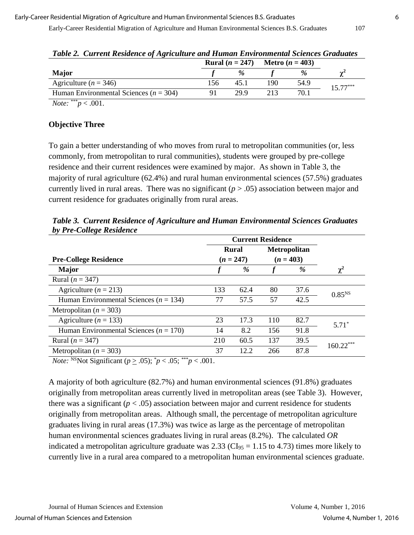|                                            |     | <b>Rural</b> $(n = 247)$ |     | <b>Metro</b> $(n = 403)$ |            |
|--------------------------------------------|-----|--------------------------|-----|--------------------------|------------|
| <b>Major</b>                               |     | $\%$                     |     | %                        |            |
| Agriculture ( $n = 346$ )                  | '56 |                          | 190 | 54.9                     | $15.77***$ |
| Human Environmental Sciences ( $n = 304$ ) |     | 29 9                     |     | 70.1                     |            |

| Table 2. Current Residence of Agriculture and Human Environmental Sciences Graduates |
|--------------------------------------------------------------------------------------|
|--------------------------------------------------------------------------------------|

*Note:*  $*^{**}p < .001$ .

## **Objective Three**

To gain a better understanding of who moves from rural to metropolitan communities (or, less commonly, from metropolitan to rural communities), students were grouped by pre-college residence and their current residences were examined by major. As shown in Table 3, the majority of rural agriculture (62.4%) and rural human environmental sciences (57.5%) graduates currently lived in rural areas. There was no significant (*p* > .05) association between major and current residence for graduates originally from rural areas.

*Table 3. Current Residence of Agriculture and Human Environmental Sciences Graduates by Pre-College Residence*

|                                                                                                                                                                                             |             | <b>Current Residence</b> |             |                     |             |  |
|---------------------------------------------------------------------------------------------------------------------------------------------------------------------------------------------|-------------|--------------------------|-------------|---------------------|-------------|--|
|                                                                                                                                                                                             |             | <b>Rural</b>             |             | <b>Metropolitan</b> |             |  |
| <b>Pre-College Residence</b>                                                                                                                                                                | $(n = 247)$ |                          | $(n = 403)$ |                     |             |  |
| <b>Major</b>                                                                                                                                                                                |             | %                        |             | %                   | $\chi^2$    |  |
| Rural ( $n = 347$ )                                                                                                                                                                         |             |                          |             |                     |             |  |
| Agriculture ( $n = 213$ )                                                                                                                                                                   | 133         | 62.4                     | 80          | 37.6                | $0.85^{NS}$ |  |
| Human Environmental Sciences ( $n = 134$ )                                                                                                                                                  | 77          | 57.5                     | 57          | 42.5                |             |  |
| Metropolitan ( $n = 303$ )                                                                                                                                                                  |             |                          |             |                     |             |  |
| Agriculture ( $n = 133$ )                                                                                                                                                                   | 23          | 17.3                     | 110         | 82.7                | $5.71*$     |  |
| Human Environmental Sciences ( $n = 170$ )                                                                                                                                                  | 14          | 8.2                      | 156         | 91.8                |             |  |
| Rural ( $n = 347$ )                                                                                                                                                                         | 210         | 60.5                     | 137         | 39.5                | $160.22***$ |  |
| Metropolitan ( $n = 303$ )                                                                                                                                                                  | 37          | 12.2                     | 266         | 87.8                |             |  |
| $M_{\ell}$ , $NSML_{\ell}$ $C_{\ell}$ , $C_{\ell}$ , $\ldots$ , $C_{\ell}$ , $O_{\ell}$ , $\ell^{*}$ , $O_{\ell}$ , $S^{**}$ , $O_{\ell}$ , $O_{\ell}$ , $S^{**}$ , $O_{\ell}$ , $O_{\ell}$ |             |                          |             |                     |             |  |

*Note:*  $\sqrt{P} > 0.05$ ;  $p < 0.05$ ;  $p < 0.001$ .

A majority of both agriculture (82.7%) and human environmental sciences (91.8%) graduates originally from metropolitan areas currently lived in metropolitan areas (see Table 3). However, there was a significant  $(p < .05)$  association between major and current residence for students originally from metropolitan areas. Although small, the percentage of metropolitan agriculture graduates living in rural areas (17.3%) was twice as large as the percentage of metropolitan human environmental sciences graduates living in rural areas (8.2%). The calculated *OR* indicated a metropolitan agriculture graduate was 2.33 ( $CI_{95} = 1.15$  to 4.73) times more likely to currently live in a rural area compared to a metropolitan human environmental sciences graduate.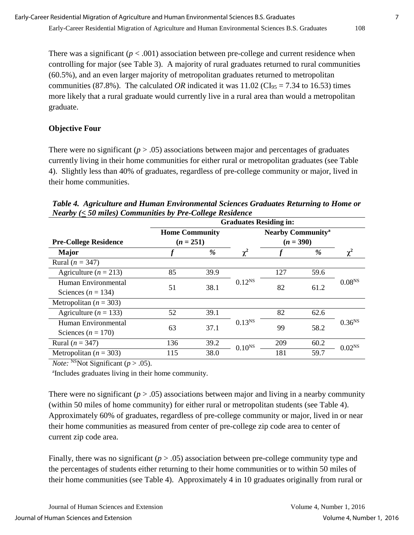There was a significant  $(p < .001)$  association between pre-college and current residence when controlling for major (see Table 3). A majority of rural graduates returned to rural communities (60.5%), and an even larger majority of metropolitan graduates returned to metropolitan communities (87.8%). The calculated *OR* indicated it was  $11.02$  (CI<sub>95</sub> = 7.34 to 16.53) times more likely that a rural graduate would currently live in a rural area than would a metropolitan graduate.

### **Objective Four**

There were no significant ( $p > .05$ ) associations between major and percentages of graduates currently living in their home communities for either rural or metropolitan graduates (see Table 4). Slightly less than 40% of graduates, regardless of pre-college community or major, lived in their home communities.

|                              | <b>Graduates Residing in:</b>        |      |                    |                                     |      |                    |  |
|------------------------------|--------------------------------------|------|--------------------|-------------------------------------|------|--------------------|--|
|                              | <b>Home Community</b><br>$(n = 251)$ |      |                    | <b>Nearby Community<sup>a</sup></b> |      |                    |  |
| <b>Pre-College Residence</b> |                                      |      |                    | $(n = 390)$                         |      |                    |  |
| <b>Major</b>                 |                                      | %    | $\chi^2$           |                                     | %    | $\chi^2$           |  |
| Rural ( $n = 347$ )          |                                      |      |                    |                                     |      |                    |  |
| Agriculture ( $n = 213$ )    | 85                                   | 39.9 |                    | 127                                 | 59.6 | 0.08 <sup>NS</sup> |  |
| Human Environmental          | 51                                   | 38.1 | $0.12^{NS}$        | 82                                  |      |                    |  |
| Sciences ( $n = 134$ )       |                                      |      |                    |                                     | 61.2 |                    |  |
| Metropolitan ( $n = 303$ )   |                                      |      |                    |                                     |      |                    |  |
| Agriculture ( $n = 133$ )    | 52                                   | 39.1 |                    | 82                                  | 62.6 | $0.36^{NS}$        |  |
| Human Environmental          |                                      | 37.1 | $0.13^{NS}$        | 99                                  | 58.2 |                    |  |
| Sciences ( $n = 170$ )       | 63                                   |      |                    |                                     |      |                    |  |
| Rural ( $n = 347$ )          | 136                                  | 39.2 | 0.10 <sup>NS</sup> | 209                                 | 60.2 | 0.02 <sup>NS</sup> |  |
| Metropolitan ( $n = 303$ )   | 115                                  | 38.0 |                    | 181                                 | 59.7 |                    |  |

*Table 4. Agriculture and Human Environmental Sciences Graduates Returning to Home or Nearby (***<** *50 miles) Communities by Pre-College Residence*

*Note:* <sup>NS</sup>Not Significant ( $p > .05$ ).

a Includes graduates living in their home community.

There were no significant  $(p > .05)$  associations between major and living in a nearby community (within 50 miles of home community) for either rural or metropolitan students (see Table 4). Approximately 60% of graduates, regardless of pre-college community or major, lived in or near their home communities as measured from center of pre-college zip code area to center of current zip code area.

Finally, there was no significant  $(p > .05)$  association between pre-college community type and the percentages of students either returning to their home communities or to within 50 miles of their home communities (see Table 4). Approximately 4 in 10 graduates originally from rural or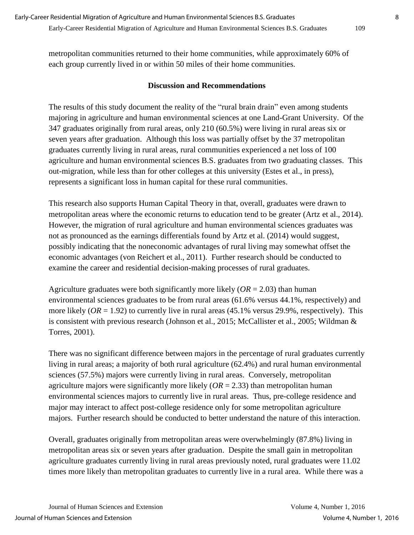metropolitan communities returned to their home communities, while approximately 60% of each group currently lived in or within 50 miles of their home communities.

### **Discussion and Recommendations**

The results of this study document the reality of the "rural brain drain" even among students majoring in agriculture and human environmental sciences at one Land-Grant University. Of the 347 graduates originally from rural areas, only 210 (60.5%) were living in rural areas six or seven years after graduation. Although this loss was partially offset by the 37 metropolitan graduates currently living in rural areas, rural communities experienced a net loss of 100 agriculture and human environmental sciences B.S. graduates from two graduating classes. This out-migration, while less than for other colleges at this university (Estes et al., in press), represents a significant loss in human capital for these rural communities.

This research also supports Human Capital Theory in that, overall, graduates were drawn to metropolitan areas where the economic returns to education tend to be greater (Artz et al., 2014). However, the migration of rural agriculture and human environmental sciences graduates was not as pronounced as the earnings differentials found by Artz et al. (2014) would suggest, possibly indicating that the noneconomic advantages of rural living may somewhat offset the economic advantages (von Reichert et al., 2011). Further research should be conducted to examine the career and residential decision-making processes of rural graduates.

Agriculture graduates were both significantly more likely (*OR* = 2.03) than human environmental sciences graduates to be from rural areas (61.6% versus 44.1%, respectively) and more likely  $(OR = 1.92)$  to currently live in rural areas  $(45.1\%$  versus 29.9%, respectively). This is consistent with previous research (Johnson et al., 2015; McCallister et al., 2005; Wildman & Torres, 2001).

There was no significant difference between majors in the percentage of rural graduates currently living in rural areas; a majority of both rural agriculture (62.4%) and rural human environmental sciences (57.5%) majors were currently living in rural areas. Conversely, metropolitan agriculture majors were significantly more likely (*OR* = 2.33) than metropolitan human environmental sciences majors to currently live in rural areas. Thus, pre-college residence and major may interact to affect post-college residence only for some metropolitan agriculture majors. Further research should be conducted to better understand the nature of this interaction.

Overall, graduates originally from metropolitan areas were overwhelmingly (87.8%) living in metropolitan areas six or seven years after graduation. Despite the small gain in metropolitan agriculture graduates currently living in rural areas previously noted, rural graduates were 11.02 times more likely than metropolitan graduates to currently live in a rural area. While there was a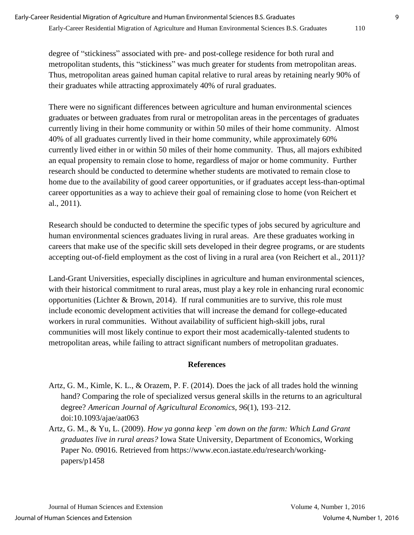degree of "stickiness" associated with pre- and post-college residence for both rural and metropolitan students, this "stickiness" was much greater for students from metropolitan areas. Thus, metropolitan areas gained human capital relative to rural areas by retaining nearly 90% of their graduates while attracting approximately 40% of rural graduates.

There were no significant differences between agriculture and human environmental sciences graduates or between graduates from rural or metropolitan areas in the percentages of graduates currently living in their home community or within 50 miles of their home community. Almost 40% of all graduates currently lived in their home community, while approximately 60% currently lived either in or within 50 miles of their home community. Thus, all majors exhibited an equal propensity to remain close to home, regardless of major or home community. Further research should be conducted to determine whether students are motivated to remain close to home due to the availability of good career opportunities, or if graduates accept less-than-optimal career opportunities as a way to achieve their goal of remaining close to home (von Reichert et al., 2011).

Research should be conducted to determine the specific types of jobs secured by agriculture and human environmental sciences graduates living in rural areas. Are these graduates working in careers that make use of the specific skill sets developed in their degree programs, or are students accepting out-of-field employment as the cost of living in a rural area (von Reichert et al., 2011)?

Land-Grant Universities, especially disciplines in agriculture and human environmental sciences, with their historical commitment to rural areas, must play a key role in enhancing rural economic opportunities (Lichter & Brown, 2014). If rural communities are to survive, this role must include economic development activities that will increase the demand for college-educated workers in rural communities. Without availability of sufficient high-skill jobs, rural communities will most likely continue to export their most academically-talented students to metropolitan areas, while failing to attract significant numbers of metropolitan graduates.

## **References**

- Artz, G. M., Kimle, K. L., & Orazem, P. F. (2014). Does the jack of all trades hold the winning hand? Comparing the role of specialized versus general skills in the returns to an agricultural degree? *American Journal of Agricultural Economics, 96*(1), 193–212. doi:10.1093/ajae/aat063
- Artz, G. M., & Yu, L. (2009). *How ya gonna keep `em down on the farm: Which Land Grant graduates live in rural areas?* Iowa State University, Department of Economics, Working Paper No. 09016. Retrieved from https://www.econ.iastate.edu/research/workingpapers/p1458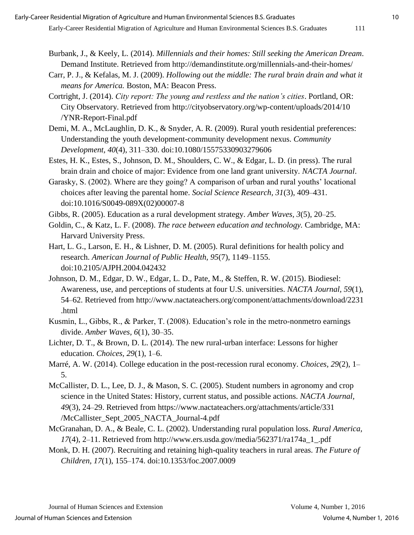- Burbank, J., & Keely, L. (2014). *Millennials and their homes: Still seeking the American Dream*. Demand Institute. Retrieved from http://demandinstitute.org/millennials-and-their-homes/
- Carr, P. J., & Kefalas, M. J. (2009). *Hollowing out the middle: The rural brain drain and what it means for America.* Boston, MA: Beacon Press.
- Cortright, J. (2014). *City report: The young and restless and the nation's cities*. Portland, OR: City Observatory. Retrieved from http://cityobservatory.org/wp-content/uploads/2014/10 /YNR-Report-Final.pdf
- Demi, M. A., McLaughlin, D. K., & Snyder, A. R. (2009). Rural youth residential preferences: Understanding the youth development-community development nexus. *Community Development, 40*(4), 311–330. doi:10.1080/15575330903279606
- Estes, H. K., Estes, S., Johnson, D. M., Shoulders, C. W., & Edgar, L. D. (in press). The rural brain drain and choice of major: Evidence from one land grant university. *NACTA Journal*.
- Garasky, S. (2002). Where are they going? A comparison of urban and rural youths' locational choices after leaving the parental home. *Social Science Research, 31*(3), 409–431. doi:10.1016/S0049-089X(02)00007-8
- Gibbs, R. (2005). Education as a rural development strategy. *Amber Waves, 3*(5), 20–25.
- Goldin, C., & Katz, L. F. (2008). *The race between education and technology.* Cambridge, MA: Harvard University Press.
- Hart, L. G., Larson, E. H., & Lishner, D. M. (2005). Rural definitions for health policy and research. *American Journal of Public Health, 95*(7), 1149–1155. doi:10.2105/AJPH.2004.042432
- Johnson, D. M., Edgar, D. W., Edgar, L. D., Pate, M., & Steffen, R. W. (2015). Biodiesel: Awareness, use, and perceptions of students at four U.S. universities. *NACTA Journal, 59*(1), 54–62. Retrieved from http://www.nactateachers.org/component/attachments/download/2231 .html
- Kusmin, L., Gibbs, R., & Parker, T. (2008). Education's role in the metro-nonmetro earnings divide. *Amber Waves, 6*(1), 30–35.
- Lichter, D. T., & Brown, D. L. (2014). The new rural-urban interface: Lessons for higher education. *Choices, 29*(1), 1–6.
- Marré, A. W. (2014). College education in the post-recession rural economy. *Choices, 29*(2), 1– 5.
- McCallister, D. L., Lee, D. J., & Mason, S. C. (2005). Student numbers in agronomy and crop science in the United States: History, current status, and possible actions. *NACTA Journal, 49*(3), 24–29. Retrieved from https://www.nactateachers.org/attachments/article/331 /McCallister\_Sept\_2005\_NACTA\_Journal-4.pdf
- McGranahan, D. A., & Beale, C. L. (2002). Understanding rural population loss. *Rural America, 17*(4), 2–11. Retrieved from http://www.ers.usda.gov/media/562371/ra174a\_1\_.pdf
- Monk, D. H. (2007). Recruiting and retaining high-quality teachers in rural areas. *The Future of Children, 17*(1), 155–174. doi:10.1353/foc.2007.0009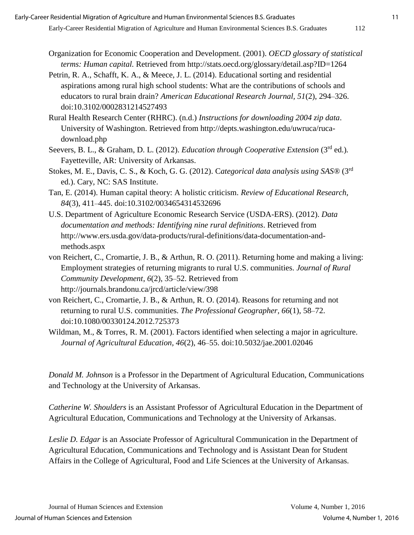*Leslie D. Edgar* is an Associate Professor of Agricultural Communication in the Department of Agricultural Education, Communications and Technology and is Assistant Dean for Student Affairs in the College of Agricultural, Food and Life Sciences at the University of Arkansas.

- Organization for Economic Cooperation and Development. (2001). *OECD glossary of statistical terms: Human capital.* Retrieved from http://stats.oecd.org/glossary/detail.asp?ID=1264
- Petrin, R. A., Schafft, K. A., & Meece, J. L. (2014). Educational sorting and residential aspirations among rural high school students: What are the contributions of schools and educators to rural brain drain? *American Educational Research Journal, 51*(2), 294–326. doi:10.3102/0002831214527493
- Rural Health Research Center (RHRC). (n.d.) *Instructions for downloading 2004 zip data*. University of Washington. Retrieved from http://depts.washington.edu/uwruca/rucadownload.php
- Seevers, B. L., & Graham, D. L. (2012). *Education through Cooperative Extension* (3<sup>rd</sup> ed.). Fayetteville, AR: University of Arkansas.
- Stokes, M. E., Davis, C. S., & Koch, G. G. (2012). C*ategorical data analysis using SAS®* (3rd ed.). Cary, NC: SAS Institute.
- Tan, E. (2014). Human capital theory: A holistic criticism. *Review of Educational Research, 84*(3), 411–445. doi:10.3102/0034654314532696
- U.S. Department of Agriculture Economic Research Service (USDA-ERS). (2012). *Data documentation and methods: Identifying nine rural definitions*. Retrieved from http://www.ers.usda.gov/data-products/rural-definitions/data-documentation-andmethods.aspx
- von Reichert, C., Cromartie, J. B., & Arthun, R. O. (2011). Returning home and making a living: Employment strategies of returning migrants to rural U.S. communities. *Journal of Rural Community Development*, *6*(2), 35–52. Retrieved from http://journals.brandonu.ca/jrcd/article/view/398
- von Reichert, C., Cromartie, J. B., & Arthun, R. O. (2014). Reasons for returning and not returning to rural U.S. communities. *The Professional Geographer, 66*(1), 58–72. doi:10.1080/00330124.2012.725373
- Wildman, M., & Torres, R. M. (2001). Factors identified when selecting a major in agriculture. *Journal of Agricultural Education, 46*(2), 46–55. doi:10.5032/jae.2001.02046

*Donald M. Johnson* is a Professor in the Department of Agricultural Education, Communications